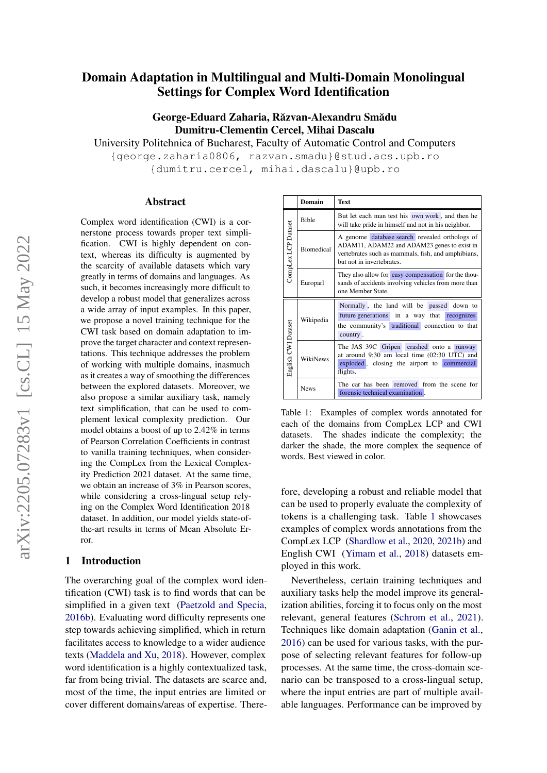# Domain Adaptation in Multilingual and Multi-Domain Monolingual Settings for Complex Word Identification

## George-Eduard Zaharia, Răzvan-Alexandru Smădu Dumitru-Clementin Cercel, Mihai Dascalu

University Politehnica of Bucharest, Faculty of Automatic Control and Computers

{george.zaharia0806, razvan.smadu}@stud.acs.upb.ro {dumitru.cercel, mihai.dascalu}@upb.ro

#### Abstract

Complex word identification (CWI) is a cornerstone process towards proper text simplification. CWI is highly dependent on context, whereas its difficulty is augmented by the scarcity of available datasets which vary greatly in terms of domains and languages. As such, it becomes increasingly more difficult to develop a robust model that generalizes across a wide array of input examples. In this paper, we propose a novel training technique for the CWI task based on domain adaptation to improve the target character and context representations. This technique addresses the problem of working with multiple domains, inasmuch as it creates a way of smoothing the differences between the explored datasets. Moreover, we also propose a similar auxiliary task, namely text simplification, that can be used to complement lexical complexity prediction. Our model obtains a boost of up to 2.42% in terms of Pearson Correlation Coefficients in contrast to vanilla training techniques, when considering the CompLex from the Lexical Complexity Prediction 2021 dataset. At the same time, we obtain an increase of 3% in Pearson scores, while considering a cross-lingual setup relying on the Complex Word Identification 2018 dataset. In addition, our model yields state-ofthe-art results in terms of Mean Absolute Error.

#### 1 Introduction

The overarching goal of the complex word identification (CWI) task is to find words that can be simplified in a given text [\(Paetzold and Specia,](#page-9-0) [2016b\)](#page-9-0). Evaluating word difficulty represents one step towards achieving simplified, which in return facilitates access to knowledge to a wider audience texts [\(Maddela and Xu,](#page-9-1) [2018\)](#page-9-1). However, complex word identification is a highly contextualized task, far from being trivial. The datasets are scarce and, most of the time, the input entries are limited or cover different domains/areas of expertise. There-

<span id="page-0-0"></span>

|                     | Domain            | Text                                                                                                                                                                             |  |  |  |  |  |  |  |  |  |  |
|---------------------|-------------------|----------------------------------------------------------------------------------------------------------------------------------------------------------------------------------|--|--|--|--|--|--|--|--|--|--|
| CompLex LCP Dataset | <b>Bible</b>      | But let each man test his own work, and then he<br>will take pride in himself and not in his neighbor.                                                                           |  |  |  |  |  |  |  |  |  |  |
|                     | <b>Biomedical</b> | A genome database search revealed orthologs of<br>ADAM11, ADAM22 and ADAM23 genes to exist in<br>vertebrates such as mammals, fish, and amphibians,<br>but not in invertebrates. |  |  |  |  |  |  |  |  |  |  |
|                     | Europarl          | They also allow for easy compensation for the thou-<br>sands of accidents involving vehicles from more than<br>one Member State.                                                 |  |  |  |  |  |  |  |  |  |  |
|                     |                   | Normally, the land will be passed down to                                                                                                                                        |  |  |  |  |  |  |  |  |  |  |
|                     | Wikipedia         | future generations in a way that<br>recognizes                                                                                                                                   |  |  |  |  |  |  |  |  |  |  |
| English CWI Dataset |                   | the community's traditional connection to that<br>country.                                                                                                                       |  |  |  |  |  |  |  |  |  |  |
|                     | WikiNews          | The JAS 39C Gripen crashed onto a runway<br>at around 9:30 am local time (02:30 UTC) and<br>exploded, closing the airport to commercial<br>flights.                              |  |  |  |  |  |  |  |  |  |  |
|                     | <b>News</b>       | The car has been removed from the scene for<br>forensic technical examination.                                                                                                   |  |  |  |  |  |  |  |  |  |  |

Table 1: Examples of complex words annotated for each of the domains from CompLex LCP and CWI datasets. The shades indicate the complexity; the darker the shade, the more complex the sequence of words. Best viewed in color.

fore, developing a robust and reliable model that can be used to properly evaluate the complexity of tokens is a challenging task. Table [1](#page-0-0) showcases examples of complex words annotations from the CompLex LCP [\(Shardlow et al.,](#page-10-0) [2020,](#page-10-0) [2021b\)](#page-10-1) and English CWI [\(Yimam et al.,](#page-10-2) [2018\)](#page-10-2) datasets employed in this work.

Nevertheless, certain training techniques and auxiliary tasks help the model improve its generalization abilities, forcing it to focus only on the most relevant, general features [\(Schrom et al.,](#page-9-2) [2021\)](#page-9-2). Techniques like domain adaptation [\(Ganin et al.,](#page-8-0) [2016\)](#page-8-0) can be used for various tasks, with the purpose of selecting relevant features for follow-up processes. At the same time, the cross-domain scenario can be transposed to a cross-lingual setup, where the input entries are part of multiple available languages. Performance can be improved by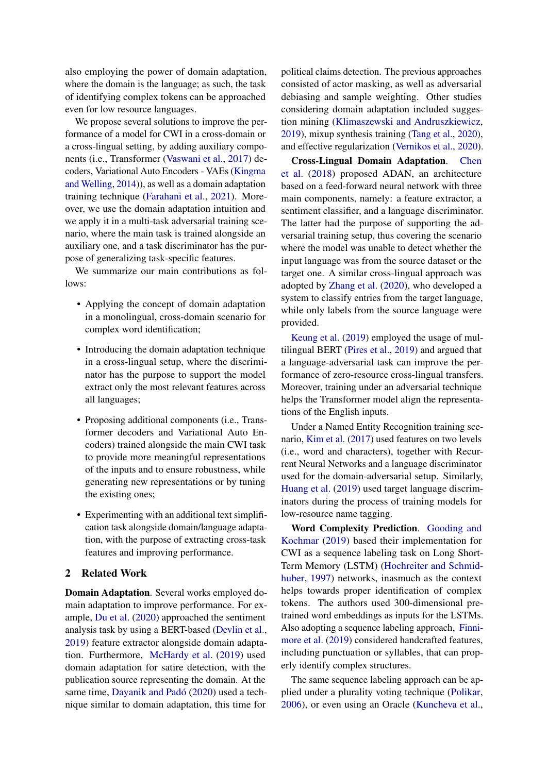also employing the power of domain adaptation, where the domain is the language; as such, the task of identifying complex tokens can be approached even for low resource languages.

We propose several solutions to improve the performance of a model for CWI in a cross-domain or a cross-lingual setting, by adding auxiliary components (i.e., Transformer [\(Vaswani et al.,](#page-10-3) [2017\)](#page-10-3) decoders, Variational Auto Encoders - VAEs [\(Kingma](#page-9-3) [and Welling,](#page-9-3) [2014\)](#page-9-3)), as well as a domain adaptation training technique [\(Farahani et al.,](#page-8-1) [2021\)](#page-8-1). Moreover, we use the domain adaptation intuition and we apply it in a multi-task adversarial training scenario, where the main task is trained alongside an auxiliary one, and a task discriminator has the purpose of generalizing task-specific features.

We summarize our main contributions as follows:

- Applying the concept of domain adaptation in a monolingual, cross-domain scenario for complex word identification;
- Introducing the domain adaptation technique in a cross-lingual setup, where the discriminator has the purpose to support the model extract only the most relevant features across all languages;
- Proposing additional components (i.e., Transformer decoders and Variational Auto Encoders) trained alongside the main CWI task to provide more meaningful representations of the inputs and to ensure robustness, while generating new representations or by tuning the existing ones;
- Experimenting with an additional text simplification task alongside domain/language adaptation, with the purpose of extracting cross-task features and improving performance.

#### 2 Related Work

Domain Adaptation. Several works employed domain adaptation to improve performance. For example, [Du et al.](#page-8-2) [\(2020\)](#page-8-2) approached the sentiment analysis task by using a BERT-based [\(Devlin et al.,](#page-8-3) [2019\)](#page-8-3) feature extractor alongside domain adaptation. Furthermore, [McHardy et al.](#page-9-4) [\(2019\)](#page-9-4) used domain adaptation for satire detection, with the publication source representing the domain. At the same time, [Dayanik and Padó](#page-8-4) [\(2020\)](#page-8-4) used a technique similar to domain adaptation, this time for

political claims detection. The previous approaches consisted of actor masking, as well as adversarial debiasing and sample weighting. Other studies considering domain adaptation included suggestion mining [\(Klimaszewski and Andruszkiewicz,](#page-9-5) [2019\)](#page-9-5), mixup synthesis training [\(Tang et al.,](#page-10-4) [2020\)](#page-10-4), and effective regularization [\(Vernikos et al.,](#page-10-5) [2020\)](#page-10-5).

Cross-Lingual Domain Adaptation. [Chen](#page-8-5) [et al.](#page-8-5) [\(2018\)](#page-8-5) proposed ADAN, an architecture based on a feed-forward neural network with three main components, namely: a feature extractor, a sentiment classifier, and a language discriminator. The latter had the purpose of supporting the adversarial training setup, thus covering the scenario where the model was unable to detect whether the input language was from the source dataset or the target one. A similar cross-lingual approach was adopted by [Zhang et al.](#page-10-6) [\(2020\)](#page-10-6), who developed a system to classify entries from the target language, while only labels from the source language were provided.

[Keung et al.](#page-9-6) [\(2019\)](#page-9-6) employed the usage of multilingual BERT [\(Pires et al.,](#page-9-7) [2019\)](#page-9-7) and argued that a language-adversarial task can improve the performance of zero-resource cross-lingual transfers. Moreover, training under an adversarial technique helps the Transformer model align the representations of the English inputs.

Under a Named Entity Recognition training scenario, [Kim et al.](#page-9-8) [\(2017\)](#page-9-8) used features on two levels (i.e., word and characters), together with Recurrent Neural Networks and a language discriminator used for the domain-adversarial setup. Similarly, [Huang et al.](#page-9-9) [\(2019\)](#page-9-9) used target language discriminators during the process of training models for low-resource name tagging.

Word Complexity Prediction. [Gooding and](#page-9-10) [Kochmar](#page-9-10) [\(2019\)](#page-9-10) based their implementation for CWI as a sequence labeling task on Long Short-Term Memory (LSTM) [\(Hochreiter and Schmid](#page-9-11)[huber,](#page-9-11) [1997\)](#page-9-11) networks, inasmuch as the context helps towards proper identification of complex tokens. The authors used 300-dimensional pretrained word embeddings as inputs for the LSTMs. Also adopting a sequence labeling approach, [Finni](#page-8-6)[more et al.](#page-8-6) [\(2019\)](#page-8-6) considered handcrafted features, including punctuation or syllables, that can properly identify complex structures.

The same sequence labeling approach can be applied under a plurality voting technique [\(Polikar,](#page-9-12) [2006\)](#page-9-12), or even using an Oracle [\(Kuncheva et al.,](#page-9-13)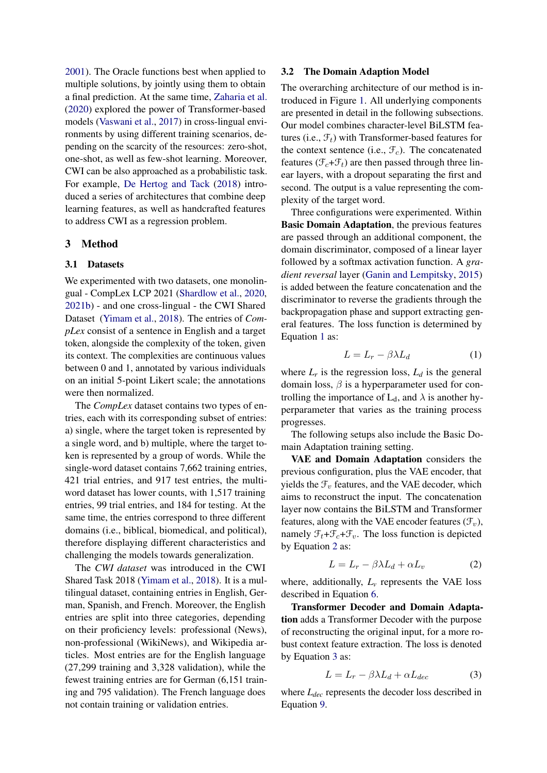[2001\)](#page-9-13). The Oracle functions best when applied to multiple solutions, by jointly using them to obtain a final prediction. At the same time, [Zaharia et al.](#page-10-7) [\(2020\)](#page-10-7) explored the power of Transformer-based models [\(Vaswani et al.,](#page-10-3) [2017\)](#page-10-3) in cross-lingual environments by using different training scenarios, depending on the scarcity of the resources: zero-shot, one-shot, as well as few-shot learning. Moreover, CWI can be also approached as a probabilistic task. For example, [De Hertog and Tack](#page-8-7) [\(2018\)](#page-8-7) introduced a series of architectures that combine deep learning features, as well as handcrafted features to address CWI as a regression problem.

## 3 Method

#### 3.1 Datasets

We experimented with two datasets, one monolingual - CompLex LCP 2021 [\(Shardlow et al.,](#page-10-0) [2020,](#page-10-0) [2021b\)](#page-10-1) - and one cross-lingual - the CWI Shared Dataset [\(Yimam et al.,](#page-10-2) [2018\)](#page-10-2). The entries of *CompLex* consist of a sentence in English and a target token, alongside the complexity of the token, given its context. The complexities are continuous values between 0 and 1, annotated by various individuals on an initial 5-point Likert scale; the annotations were then normalized.

The *CompLex* dataset contains two types of entries, each with its corresponding subset of entries: a) single, where the target token is represented by a single word, and b) multiple, where the target token is represented by a group of words. While the single-word dataset contains 7,662 training entries, 421 trial entries, and 917 test entries, the multiword dataset has lower counts, with 1,517 training entries, 99 trial entries, and 184 for testing. At the same time, the entries correspond to three different domains (i.e., biblical, biomedical, and political), therefore displaying different characteristics and challenging the models towards generalization.

The *CWI dataset* was introduced in the CWI Shared Task 2018 [\(Yimam et al.,](#page-10-2) [2018\)](#page-10-2). It is a multilingual dataset, containing entries in English, German, Spanish, and French. Moreover, the English entries are split into three categories, depending on their proficiency levels: professional (News), non-professional (WikiNews), and Wikipedia articles. Most entries are for the English language (27,299 training and 3,328 validation), while the fewest training entries are for German (6,151 training and 795 validation). The French language does not contain training or validation entries.

#### 3.2 The Domain Adaption Model

The overarching architecture of our method is introduced in Figure [1.](#page-3-0) All underlying components are presented in detail in the following subsections. Our model combines character-level BiLSTM features (i.e.,  $\mathcal{F}_t$ ) with Transformer-based features for the context sentence (i.e.,  $\mathcal{F}_c$ ). The concatenated features ( $\mathcal{F}_c + \mathcal{F}_t$ ) are then passed through three linear layers, with a dropout separating the first and second. The output is a value representing the complexity of the target word.

Three configurations were experimented. Within Basic Domain Adaptation, the previous features are passed through an additional component, the domain discriminator, composed of a linear layer followed by a softmax activation function. A *gradient reversal* layer [\(Ganin and Lempitsky,](#page-8-8) [2015\)](#page-8-8) is added between the feature concatenation and the discriminator to reverse the gradients through the backpropagation phase and support extracting general features. The loss function is determined by Equation [1](#page-2-0) as:

<span id="page-2-0"></span>
$$
L = L_r - \beta \lambda L_d \tag{1}
$$

where  $L_r$  is the regression loss,  $L_d$  is the general domain loss,  $\beta$  is a hyperparameter used for controlling the importance of  $L_d$ , and  $\lambda$  is another hyperparameter that varies as the training process progresses.

The following setups also include the Basic Domain Adaptation training setting.

VAE and Domain Adaptation considers the previous configuration, plus the VAE encoder, that yields the  $\mathcal{F}_v$  features, and the VAE decoder, which aims to reconstruct the input. The concatenation layer now contains the BiLSTM and Transformer features, along with the VAE encoder features  $(\mathcal{F}_v)$ , namely  $\mathcal{F}_t + \mathcal{F}_c + \mathcal{F}_v$ . The loss function is depicted by Equation [2](#page-2-1) as:

<span id="page-2-1"></span>
$$
L = L_r - \beta \lambda L_d + \alpha L_v \tag{2}
$$

where, additionally,  $L<sub>v</sub>$  represents the VAE loss described in Equation [6.](#page-4-0)

Transformer Decoder and Domain Adaptation adds a Transformer Decoder with the purpose of reconstructing the original input, for a more robust context feature extraction. The loss is denoted by Equation [3](#page-2-2) as:

<span id="page-2-2"></span>
$$
L = L_r - \beta \lambda L_d + \alpha L_{dec} \tag{3}
$$

where *Ldec* represents the decoder loss described in Equation [9.](#page-5-0)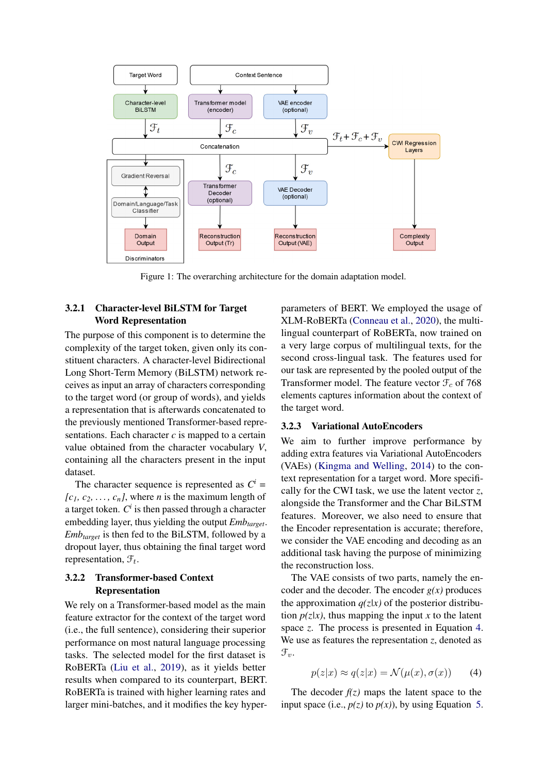<span id="page-3-0"></span>

Figure 1: The overarching architecture for the domain adaptation model.

## 3.2.1 Character-level BiLSTM for Target Word Representation

The purpose of this component is to determine the complexity of the target token, given only its constituent characters. A character-level Bidirectional Long Short-Term Memory (BiLSTM) network receives as input an array of characters corresponding to the target word (or group of words), and yields a representation that is afterwards concatenated to the previously mentioned Transformer-based representations. Each character *c* is mapped to a certain value obtained from the character vocabulary *V*, containing all the characters present in the input dataset.

The character sequence is represented as  $C^i$  =  $[c_1, c_2, \ldots, c_n]$ , where *n* is the maximum length of a target token.  $C^i$  is then passed through a character embedding layer, thus yielding the output *Embtarget*. *Embtarget* is then fed to the BiLSTM, followed by a dropout layer, thus obtaining the final target word representation,  $\mathcal{F}_t$ .

## 3.2.2 Transformer-based Context Representation

We rely on a Transformer-based model as the main feature extractor for the context of the target word (i.e., the full sentence), considering their superior performance on most natural language processing tasks. The selected model for the first dataset is RoBERTa [\(Liu et al.,](#page-9-14) [2019\)](#page-9-14), as it yields better results when compared to its counterpart, BERT. RoBERTa is trained with higher learning rates and larger mini-batches, and it modifies the key hyperparameters of BERT. We employed the usage of XLM-RoBERTa [\(Conneau et al.,](#page-8-9) [2020\)](#page-8-9), the multilingual counterpart of RoBERTa, now trained on a very large corpus of multilingual texts, for the second cross-lingual task. The features used for our task are represented by the pooled output of the Transformer model. The feature vector  $\mathcal{F}_c$  of 768 elements captures information about the context of the target word.

## 3.2.3 Variational AutoEncoders

We aim to further improve performance by adding extra features via Variational AutoEncoders (VAEs) [\(Kingma and Welling,](#page-9-3) [2014\)](#page-9-3) to the context representation for a target word. More specifically for the CWI task, we use the latent vector *z*, alongside the Transformer and the Char BiLSTM features. Moreover, we also need to ensure that the Encoder representation is accurate; therefore, we consider the VAE encoding and decoding as an additional task having the purpose of minimizing the reconstruction loss.

The VAE consists of two parts, namely the encoder and the decoder. The encoder  $g(x)$  produces the approximation  $q(z|x)$  of the posterior distribution  $p(z|x)$ , thus mapping the input x to the latent space *z*. The process is presented in Equation [4.](#page-3-1) We use as features the representation  $z$ , denoted as  $\mathfrak{F}_{v}$ .

<span id="page-3-1"></span>
$$
p(z|x) \approx q(z|x) = \mathcal{N}(\mu(x), \sigma(x)) \tag{4}
$$

The decoder  $f(z)$  maps the latent space to the input space (i.e.,  $p(z)$  to  $p(x)$ ), by using Equation [5.](#page-4-1)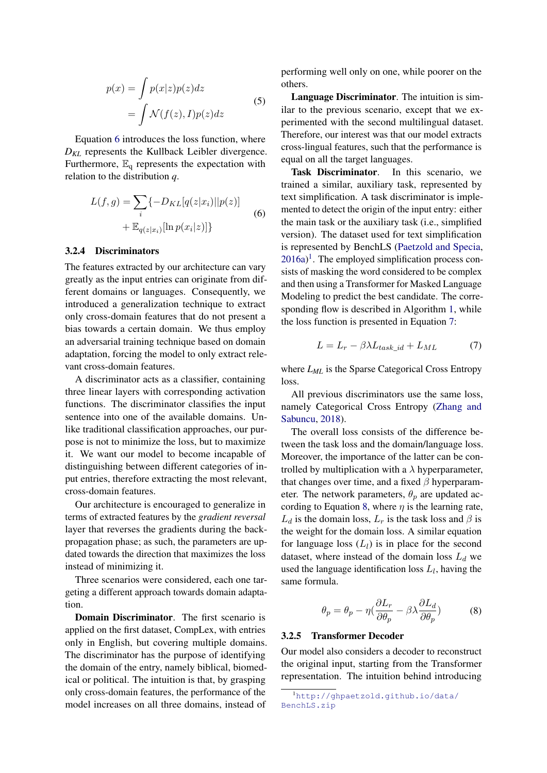<span id="page-4-1"></span>
$$
p(x) = \int p(x|z)p(z)dz
$$
  
= 
$$
\int \mathcal{N}(f(z), I)p(z)dz
$$
 (5)

Equation [6](#page-4-0) introduces the loss function, where *DKL* represents the Kullback Leibler divergence. Furthermore,  $\mathbb{E}_q$  represents the expectation with relation to the distribution *q*.

<span id="page-4-0"></span>
$$
L(f,g) = \sum_{i} \{-D_{KL}[q(z|x_i)||p(z)] + \mathbb{E}_{q(z|x_i)}[\ln p(x_i|z)]\}
$$
(6)

#### 3.2.4 Discriminators

The features extracted by our architecture can vary greatly as the input entries can originate from different domains or languages. Consequently, we introduced a generalization technique to extract only cross-domain features that do not present a bias towards a certain domain. We thus employ an adversarial training technique based on domain adaptation, forcing the model to only extract relevant cross-domain features.

A discriminator acts as a classifier, containing three linear layers with corresponding activation functions. The discriminator classifies the input sentence into one of the available domains. Unlike traditional classification approaches, our purpose is not to minimize the loss, but to maximize it. We want our model to become incapable of distinguishing between different categories of input entries, therefore extracting the most relevant, cross-domain features.

Our architecture is encouraged to generalize in terms of extracted features by the *gradient reversal* layer that reverses the gradients during the backpropagation phase; as such, the parameters are updated towards the direction that maximizes the loss instead of minimizing it.

Three scenarios were considered, each one targeting a different approach towards domain adaptation.

Domain Discriminator. The first scenario is applied on the first dataset, CompLex, with entries only in English, but covering multiple domains. The discriminator has the purpose of identifying the domain of the entry, namely biblical, biomedical or political. The intuition is that, by grasping only cross-domain features, the performance of the model increases on all three domains, instead of

performing well only on one, while poorer on the others.

Language Discriminator. The intuition is similar to the previous scenario, except that we experimented with the second multilingual dataset. Therefore, our interest was that our model extracts cross-lingual features, such that the performance is equal on all the target languages.

Task Discriminator. In this scenario, we trained a similar, auxiliary task, represented by text simplification. A task discriminator is implemented to detect the origin of the input entry: either the main task or the auxiliary task (i.e., simplified version). The dataset used for text simplification is represented by BenchLS [\(Paetzold and Specia,](#page-9-15)  $2016a$  $2016a$  $2016a$ <sup>1</sup>. The employed simplification process consists of masking the word considered to be complex and then using a Transformer for Masked Language Modeling to predict the best candidate. The corresponding flow is described in Algorithm [1,](#page-5-1) while the loss function is presented in Equation [7:](#page-4-3)

<span id="page-4-3"></span>
$$
L = L_r - \beta \lambda L_{task\_id} + L_{ML} \tag{7}
$$

where *LML* is the Sparse Categorical Cross Entropy loss.

All previous discriminators use the same loss, namely Categorical Cross Entropy [\(Zhang and](#page-10-8) [Sabuncu,](#page-10-8) [2018\)](#page-10-8).

The overall loss consists of the difference between the task loss and the domain/language loss. Moreover, the importance of the latter can be controlled by multiplication with a  $\lambda$  hyperparameter, that changes over time, and a fixed  $\beta$  hyperparameter. The network parameters,  $\theta_p$  are updated ac-cording to Equation [8,](#page-4-4) where  $\eta$  is the learning rate,  $L_d$  is the domain loss,  $L_r$  is the task loss and  $\beta$  is the weight for the domain loss. A similar equation for language loss  $(L_l)$  is in place for the second dataset, where instead of the domain loss  $L_d$  we used the language identification loss  $L_l$ , having the same formula.

<span id="page-4-4"></span>
$$
\theta_p = \theta_p - \eta \left(\frac{\partial L_r}{\partial \theta_p} - \beta \lambda \frac{\partial L_d}{\partial \theta_p}\right) \tag{8}
$$

#### 3.2.5 Transformer Decoder

Our model also considers a decoder to reconstruct the original input, starting from the Transformer representation. The intuition behind introducing

<span id="page-4-2"></span><sup>1</sup>[http://ghpaetzold.github.io/data/](http://ghpaetzold.github.io/data/BenchLS.zip) [BenchLS.zip](http://ghpaetzold.github.io/data/BenchLS.zip)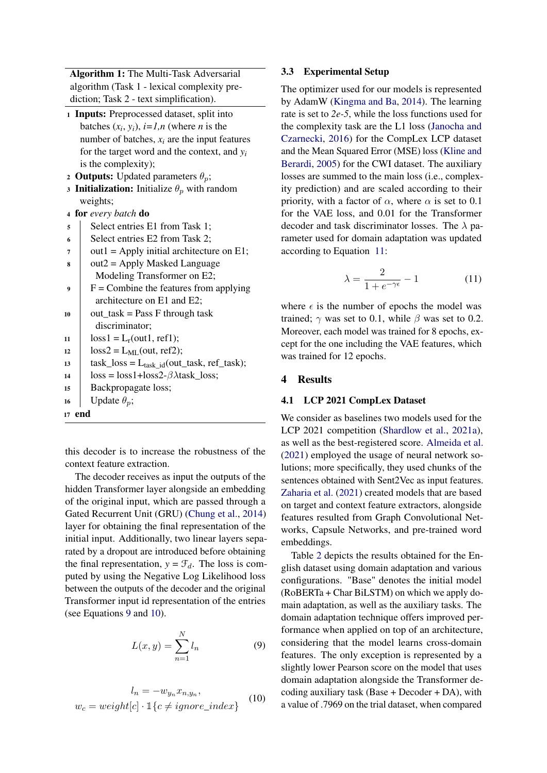Algorithm 1: The Multi-Task Adversarial algorithm (Task 1 - lexical complexity prediction; Task 2 - text simplification).

- <sup>1</sup> Inputs: Preprocessed dataset, split into batches  $(x_i, y_i)$ ,  $i=1, n$  (where *n* is the number of batches,  $x_i$  are the input features for the target word and the context, and *y<sup>i</sup>* is the complexity);
- 2 **Outputs:** Updated parameters  $\theta_p$ ;
- 3 **Initialization:** Initialize  $\theta_p$  with random weights;
- <sup>4</sup> for *every batch* do
- 5 | Select entries E1 from Task 1;
- $\sim$  Select entries E2 from Task 2:
- $\tau$  out1 = Apply initial architecture on E1;
- $\text{But2} = \text{Apply Masked Language}$ Modeling Transformer on E2;
- $\overline{9}$  F = Combine the features from applying architecture on E1 and E2;
- 10  $\vert$  out\_task = Pass F through task discriminator;
- $11$   $\log s1 = L_r(out1, ref1);$
- 12  $\log S = L_{ML}(out, ref2);$
- 13  $\vert$  task\_loss = L<sub>task id</sub>(out\_task, ref\_task);
- 14  $\log s = \log 1 + \log 2 \beta \lambda \tag{10}$
- <sup>15</sup> Backpropagate loss;

```
16 | Update \theta_n;
```
<span id="page-5-1"></span><sup>17</sup> end

this decoder is to increase the robustness of the context feature extraction.

The decoder receives as input the outputs of the hidden Transformer layer alongside an embedding of the original input, which are passed through a Gated Recurrent Unit (GRU) [\(Chung et al.,](#page-8-10) [2014\)](#page-8-10) layer for obtaining the final representation of the initial input. Additionally, two linear layers separated by a dropout are introduced before obtaining the final representation,  $y = \mathcal{F}_d$ . The loss is computed by using the Negative Log Likelihood loss between the outputs of the decoder and the original Transformer input id representation of the entries (see Equations [9](#page-5-0) and [10\)](#page-5-2).

<span id="page-5-0"></span>
$$
L(x,y) = \sum_{n=1}^{N} l_n \tag{9}
$$

<span id="page-5-2"></span>
$$
l_n = -w_{y_n}x_{n,y_n},
$$
  

$$
w_c = weight[c] \cdot \mathbb{1}\{c \neq ignore\_index\}
$$
 (10)

## 3.3 Experimental Setup

The optimizer used for our models is represented by AdamW [\(Kingma and Ba,](#page-9-16) [2014\)](#page-9-16). The learning rate is set to *2e-5*, while the loss functions used for the complexity task are the L1 loss [\(Janocha and](#page-9-17) [Czarnecki,](#page-9-17) [2016\)](#page-9-17) for the CompLex LCP dataset and the Mean Squared Error (MSE) loss [\(Kline and](#page-9-18) [Berardi,](#page-9-18) [2005\)](#page-9-18) for the CWI dataset. The auxiliary losses are summed to the main loss (i.e., complexity prediction) and are scaled according to their priority, with a factor of  $\alpha$ , where  $\alpha$  is set to 0.1 for the VAE loss, and 0.01 for the Transformer decoder and task discriminator losses. The  $\lambda$  parameter used for domain adaptation was updated according to Equation [11:](#page-5-3)

<span id="page-5-3"></span>
$$
\lambda = \frac{2}{1 + e^{-\gamma \epsilon}} - 1 \tag{11}
$$

where  $\epsilon$  is the number of epochs the model was trained;  $\gamma$  was set to 0.1, while  $\beta$  was set to 0.2. Moreover, each model was trained for 8 epochs, except for the one including the VAE features, which was trained for 12 epochs.

## 4 Results

## 4.1 LCP 2021 CompLex Dataset

We consider as baselines two models used for the LCP 2021 competition [\(Shardlow et al.,](#page-9-19) [2021a\)](#page-9-19), as well as the best-registered score. [Almeida et al.](#page-8-11) [\(2021\)](#page-8-11) employed the usage of neural network solutions; more specifically, they used chunks of the sentences obtained with Sent2Vec as input features. [Zaharia et al.](#page-10-9) [\(2021\)](#page-10-9) created models that are based on target and context feature extractors, alongside features resulted from Graph Convolutional Networks, Capsule Networks, and pre-trained word embeddings.

Table [2](#page-6-0) depicts the results obtained for the English dataset using domain adaptation and various configurations. "Base" denotes the initial model (RoBERTa + Char BiLSTM) on which we apply domain adaptation, as well as the auxiliary tasks. The domain adaptation technique offers improved performance when applied on top of an architecture, considering that the model learns cross-domain features. The only exception is represented by a slightly lower Pearson score on the model that uses domain adaptation alongside the Transformer decoding auxiliary task (Base  $+$  Decoder  $+$  DA), with a value of .7969 on the trial dataset, when compared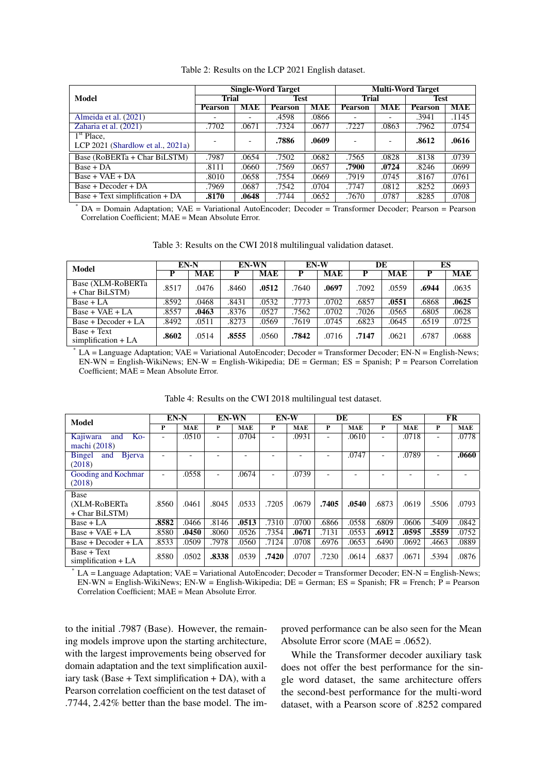<span id="page-6-0"></span>

|                                        |                |            | <b>Single-Word Target</b> |       | <b>Multi-Word Target</b> |       |                |            |  |
|----------------------------------------|----------------|------------|---------------------------|-------|--------------------------|-------|----------------|------------|--|
| Model                                  | <b>Trial</b>   |            | Test                      |       | <b>Trial</b>             |       | <b>Test</b>    |            |  |
|                                        | <b>Pearson</b> | <b>MAE</b> | <b>Pearson</b>            | MAE   | <b>Pearson</b>           | MAE   | <b>Pearson</b> | <b>MAE</b> |  |
| Almeida et al. (2021)                  |                |            | .4598                     | .0866 |                          |       | .3941          | .1145      |  |
| Zaharia et al. (2021)                  | .7702          | .0671      | .7324                     | .0677 | .7227                    | .0863 | .7962          | .0754      |  |
| $\overline{1}^{\text{st}}$ Place,      |                |            | .7886                     | .0609 |                          |       | .8612          | .0616      |  |
| LCP $2021$ (Shardlow et al., $2021a$ ) |                |            |                           |       |                          |       |                |            |  |
| Base (RoBERTa + Char BiLSTM)           | .7987          | .0654      | .7502                     | .0682 | .7565                    | .0828 | .8138          | .0739      |  |
| $Base + DA$                            | .8111          | .0660      | .7569                     | .0657 | .7900                    | .0724 | .8246          | .0699      |  |
| $Base + VAE + DA$                      | .8010          | .0658      | .7554                     | .0669 | .7919                    | .0745 | .8167          | .0761      |  |
| Base + Decoder + DA                    | .7969          | .0687      | .7542                     | .0704 | .7747                    | .0812 | .8252          | .0693      |  |
| Base + Text simplification + $DA$      | .8170          | .0648      | .7744                     | .0652 | .7670                    | .0787 | .8285          | .0708      |  |

Table 2: Results on the LCP 2021 English dataset.

 $*$  DA = Domain Adaptation; VAE = Variational AutoEncoder; Decoder = Transformer Decoder; Pearson = Pearson Correlation Coefficient; MAE = Mean Absolute Error.

|  |  |  |  |  |  |  | Table 3: Results on the CWI 2018 multilingual validation dataset. |  |  |
|--|--|--|--|--|--|--|-------------------------------------------------------------------|--|--|
|--|--|--|--|--|--|--|-------------------------------------------------------------------|--|--|

<span id="page-6-1"></span>

| Model                                  | EN-N  |            | <b>EN-WN</b> |       | $EN-W$ |            | DE    |            | ES    |       |
|----------------------------------------|-------|------------|--------------|-------|--------|------------|-------|------------|-------|-------|
|                                        | Р     | <b>MAE</b> | P            | MAE   | P      | <b>MAE</b> | Р     | <b>MAE</b> | P     | MAE   |
| Base (XLM-RoBERTa)<br>+ Char BiLSTM)   | .8517 | .0476      | .8460        | .0512 | .7640  | .0697      | .7092 | .0559      | .6944 | .0635 |
| $Base + LA$                            | .8592 | 0468       | .8431        | .0532 | .7773  | .0702      | .6857 | .0551      | .6868 | .0625 |
| $Base + VAE + LA$                      | .8557 | .0463      | .8376        | .0527 | .7562  | .0702      | .7026 | .0565      | .6805 | .0628 |
| Base + Decoder + LA                    | .8492 | .0511      | .8273        | .0569 | .7619  | .0745      | .6823 | .0645      | .6519 | .0725 |
| $Base + Text$<br>simplification $+ LA$ | .8602 | .0514      | .8555        | .0560 | .7842  | .0716      | .7147 | .0621      | .6787 | .0688 |

LA = Language Adaptation; VAE = Variational AutoEncoder; Decoder = Transformer Decoder; EN-N = English-News; EN-WN = English-WikiNews; EN-W = English-Wikipedia; DE = German; ES = Spanish; P = Pearson Correlation Coefficient; MAE = Mean Absolute Error.

<span id="page-6-2"></span>

| <b>Model</b>                    | EN-N                     |            | <b>EN-WN</b>             |            | EN-W                     |            | DE                       |            | ES                       |            | FR                       |            |
|---------------------------------|--------------------------|------------|--------------------------|------------|--------------------------|------------|--------------------------|------------|--------------------------|------------|--------------------------|------------|
|                                 | P                        | <b>MAE</b> | P                        | <b>MAE</b> | P                        | <b>MAE</b> | P                        | <b>MAE</b> | P                        | <b>MAE</b> | P                        | <b>MAE</b> |
| Kajiwara<br>$Ko-$<br>and        | $\overline{\phantom{a}}$ | .0510      | $\overline{\phantom{0}}$ | .0704      | ۰                        | .0931      | $\overline{a}$           | .0610      | $\overline{\phantom{0}}$ | .0718      | $\overline{\phantom{0}}$ | .0778      |
| machi (2018)                    |                          |            |                          |            |                          |            |                          |            |                          |            |                          |            |
| <b>B</b> jerva<br>Bingel<br>and |                          |            |                          |            |                          |            |                          | .0747      |                          | .0789      |                          | .0660      |
| (2018)                          |                          |            |                          |            |                          |            |                          |            |                          |            |                          |            |
| Gooding and Kochmar             | $\overline{\phantom{a}}$ | .0558      | $\overline{\phantom{a}}$ | .0674      | $\overline{\phantom{0}}$ | .0739      | $\overline{\phantom{0}}$ |            |                          |            |                          |            |
| (2018)                          |                          |            |                          |            |                          |            |                          |            |                          |            |                          |            |
| Base                            |                          |            |                          |            |                          |            |                          |            |                          |            |                          |            |
| (XLM-RoBERTa                    | .8560                    | .0461      | .8045                    | .0533      | .7205                    | .0679      | .7405                    | .0540      | .6873                    | .0619      | .5506                    | .0793      |
| + Char BiLSTM)                  |                          |            |                          |            |                          |            |                          |            |                          |            |                          |            |
| $Base + LA$                     | .8582                    | .0466      | .8146                    | .0513      | .7310                    | .0700      | .6866                    | .0558      | .6809                    | .0606      | .5409                    | .0842      |
| $Base + VAE + LA$               | .8580                    | .0450      | .8060                    | .0526      | .7354                    | .0671      | .7131                    | .0553      | .6912                    | .0595      | .5559                    | .0752      |
| Base + Decoder + LA             | .8533                    | .0509      | .7978                    | .0560      | .7124                    | .0708      | .6976                    | .0653      | .6490                    | .0692      | .4663                    | .0889      |
| $Base + Text$                   | .8580                    | .0502      | .8338                    | .0539      | .7420                    | .0707      | .7230                    | .0614      | .6837                    | .0671      | .5394                    | .0876      |
| simplification $+ LA$           |                          |            |                          |            |                          |            |                          |            |                          |            |                          |            |

Table 4: Results on the CWI 2018 multilingual test dataset.

LA = Language Adaptation; VAE = Variational AutoEncoder; Decoder = Transformer Decoder; EN-N = English-News;  $EN-WN =$  English-WikiNews; EN-W = English-Wikipedia; DE = German; ES = Spanish; FR = French;  $\overline{P}$  = Pearson Correlation Coefficient; MAE = Mean Absolute Error.

to the initial .7987 (Base). However, the remaining models improve upon the starting architecture, with the largest improvements being observed for domain adaptation and the text simplification auxiliary task (Base  $+$  Text simplification  $+$  DA), with a Pearson correlation coefficient on the test dataset of .7744, 2.42% better than the base model. The improved performance can be also seen for the Mean Absolute Error score (MAE = .0652).

While the Transformer decoder auxiliary task does not offer the best performance for the single word dataset, the same architecture offers the second-best performance for the multi-word dataset, with a Pearson score of .8252 compared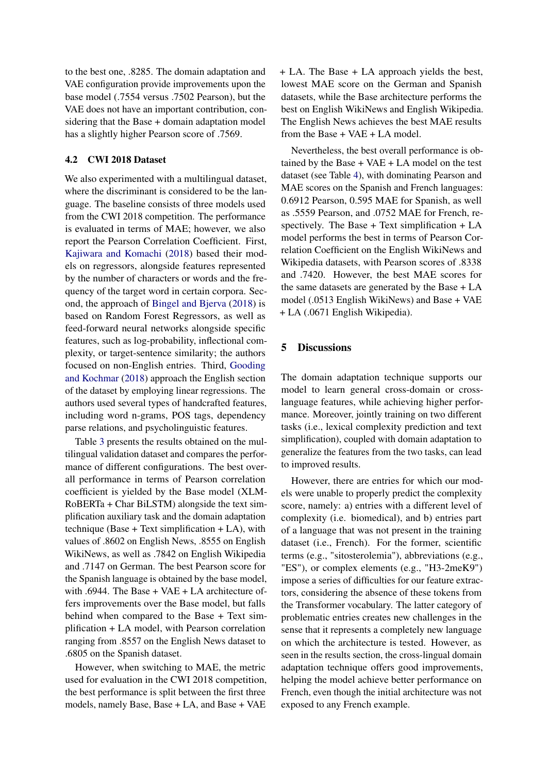to the best one, .8285. The domain adaptation and VAE configuration provide improvements upon the base model (.7554 versus .7502 Pearson), but the VAE does not have an important contribution, considering that the Base + domain adaptation model has a slightly higher Pearson score of .7569.

## 4.2 CWI 2018 Dataset

We also experimented with a multilingual dataset, where the discriminant is considered to be the language. The baseline consists of three models used from the CWI 2018 competition. The performance is evaluated in terms of MAE; however, we also report the Pearson Correlation Coefficient. First, [Kajiwara and Komachi](#page-9-20) [\(2018\)](#page-9-20) based their models on regressors, alongside features represented by the number of characters or words and the frequency of the target word in certain corpora. Second, the approach of [Bingel and Bjerva](#page-8-12) [\(2018\)](#page-8-12) is based on Random Forest Regressors, as well as feed-forward neural networks alongside specific features, such as log-probability, inflectional complexity, or target-sentence similarity; the authors focused on non-English entries. Third, [Gooding](#page-9-21) [and Kochmar](#page-9-21) [\(2018\)](#page-9-21) approach the English section of the dataset by employing linear regressions. The authors used several types of handcrafted features, including word n-grams, POS tags, dependency parse relations, and psycholinguistic features.

Table [3](#page-6-1) presents the results obtained on the multilingual validation dataset and compares the performance of different configurations. The best overall performance in terms of Pearson correlation coefficient is yielded by the Base model (XLM-RoBERTa + Char BiLSTM) alongside the text simplification auxiliary task and the domain adaptation technique (Base  $+$  Text simplification  $+$  LA), with values of .8602 on English News, .8555 on English WikiNews, as well as .7842 on English Wikipedia and .7147 on German. The best Pearson score for the Spanish language is obtained by the base model, with .6944. The Base + VAE + LA architecture offers improvements over the Base model, but falls behind when compared to the Base + Text simplification + LA model, with Pearson correlation ranging from .8557 on the English News dataset to .6805 on the Spanish dataset.

However, when switching to MAE, the metric used for evaluation in the CWI 2018 competition, the best performance is split between the first three models, namely Base, Base + LA, and Base + VAE + LA. The Base + LA approach yields the best, lowest MAE score on the German and Spanish datasets, while the Base architecture performs the best on English WikiNews and English Wikipedia. The English News achieves the best MAE results from the Base + VAE + LA model.

Nevertheless, the best overall performance is obtained by the Base + VAE + LA model on the test dataset (see Table [4\)](#page-6-2), with dominating Pearson and MAE scores on the Spanish and French languages: 0.6912 Pearson, 0.595 MAE for Spanish, as well as .5559 Pearson, and .0752 MAE for French, respectively. The Base + Text simplification + LA model performs the best in terms of Pearson Correlation Coefficient on the English WikiNews and Wikipedia datasets, with Pearson scores of .8338 and .7420. However, the best MAE scores for the same datasets are generated by the Base + LA model (.0513 English WikiNews) and Base + VAE + LA (.0671 English Wikipedia).

## 5 Discussions

The domain adaptation technique supports our model to learn general cross-domain or crosslanguage features, while achieving higher performance. Moreover, jointly training on two different tasks (i.e., lexical complexity prediction and text simplification), coupled with domain adaptation to generalize the features from the two tasks, can lead to improved results.

However, there are entries for which our models were unable to properly predict the complexity score, namely: a) entries with a different level of complexity (i.e. biomedical), and b) entries part of a language that was not present in the training dataset (i.e., French). For the former, scientific terms (e.g., "sitosterolemia"), abbreviations (e.g., "ES"), or complex elements (e.g., "H3-2meK9") impose a series of difficulties for our feature extractors, considering the absence of these tokens from the Transformer vocabulary. The latter category of problematic entries creates new challenges in the sense that it represents a completely new language on which the architecture is tested. However, as seen in the results section, the cross-lingual domain adaptation technique offers good improvements, helping the model achieve better performance on French, even though the initial architecture was not exposed to any French example.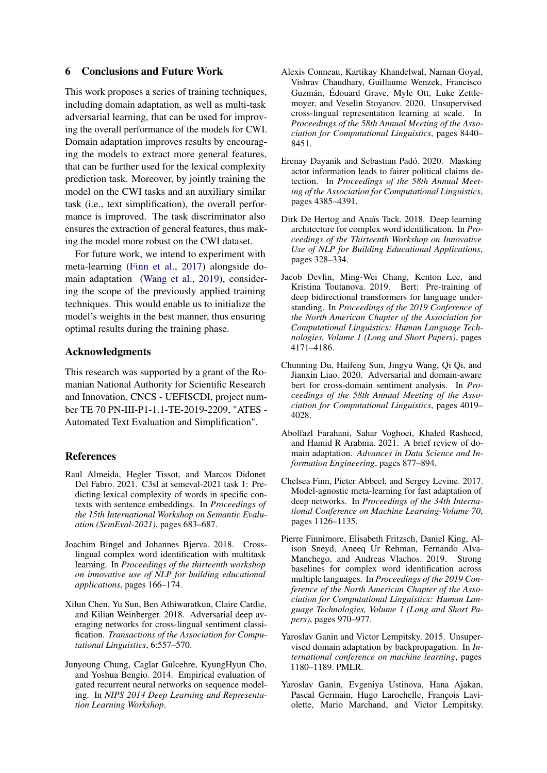### 6 Conclusions and Future Work

This work proposes a series of training techniques, including domain adaptation, as well as multi-task adversarial learning, that can be used for improving the overall performance of the models for CWI. Domain adaptation improves results by encouraging the models to extract more general features, that can be further used for the lexical complexity prediction task. Moreover, by jointly training the model on the CWI tasks and an auxiliary similar task (i.e., text simplification), the overall performance is improved. The task discriminator also ensures the extraction of general features, thus making the model more robust on the CWI dataset.

For future work, we intend to experiment with meta-learning [\(Finn et al.,](#page-8-13) [2017\)](#page-8-13) alongside domain adaptation [\(Wang et al.,](#page-10-10) [2019\)](#page-10-10), considering the scope of the previously applied training techniques. This would enable us to initialize the model's weights in the best manner, thus ensuring optimal results during the training phase.

### Acknowledgments

This research was supported by a grant of the Romanian National Authority for Scientific Research and Innovation, CNCS - UEFISCDI, project number TE 70 PN-III-P1-1.1-TE-2019-2209, "ATES - Automated Text Evaluation and Simplification".

## References

- <span id="page-8-11"></span>Raul Almeida, Hegler Tissot, and Marcos Didonet Del Fabro. 2021. C3sl at semeval-2021 task 1: Predicting lexical complexity of words in specific contexts with sentence embeddings. In *Proceedings of the 15th International Workshop on Semantic Evaluation (SemEval-2021)*, pages 683–687.
- <span id="page-8-12"></span>Joachim Bingel and Johannes Bjerva. 2018. Crosslingual complex word identification with multitask learning. In *Proceedings of the thirteenth workshop on innovative use of NLP for building educational applications*, pages 166–174.
- <span id="page-8-5"></span>Xilun Chen, Yu Sun, Ben Athiwaratkun, Claire Cardie, and Kilian Weinberger. 2018. Adversarial deep averaging networks for cross-lingual sentiment classification. *Transactions of the Association for Computational Linguistics*, 6:557–570.
- <span id="page-8-10"></span>Junyoung Chung, Caglar Gulcehre, KyungHyun Cho, and Yoshua Bengio. 2014. Empirical evaluation of gated recurrent neural networks on sequence modeling. In *NIPS 2014 Deep Learning and Representation Learning Workshop*.
- <span id="page-8-9"></span>Alexis Conneau, Kartikay Khandelwal, Naman Goyal, Vishrav Chaudhary, Guillaume Wenzek, Francisco Guzmán, Édouard Grave, Myle Ott, Luke Zettlemoyer, and Veselin Stoyanov. 2020. Unsupervised cross-lingual representation learning at scale. In *Proceedings of the 58th Annual Meeting of the Association for Computational Linguistics*, pages 8440– 8451.
- <span id="page-8-4"></span>Erenay Dayanik and Sebastian Padó. 2020. Masking actor information leads to fairer political claims detection. In *Proceedings of the 58th Annual Meeting of the Association for Computational Linguistics*, pages 4385–4391.
- <span id="page-8-7"></span>Dirk De Hertog and Anaïs Tack. 2018. Deep learning architecture for complex word identification. In *Proceedings of the Thirteenth Workshop on Innovative Use of NLP for Building Educational Applications*, pages 328–334.
- <span id="page-8-3"></span>Jacob Devlin, Ming-Wei Chang, Kenton Lee, and Kristina Toutanova. 2019. Bert: Pre-training of deep bidirectional transformers for language understanding. In *Proceedings of the 2019 Conference of the North American Chapter of the Association for Computational Linguistics: Human Language Technologies, Volume 1 (Long and Short Papers)*, pages 4171–4186.
- <span id="page-8-2"></span>Chunning Du, Haifeng Sun, Jingyu Wang, Qi Qi, and Jianxin Liao. 2020. Adversarial and domain-aware bert for cross-domain sentiment analysis. In *Proceedings of the 58th Annual Meeting of the Association for Computational Linguistics*, pages 4019– 4028.
- <span id="page-8-1"></span>Abolfazl Farahani, Sahar Voghoei, Khaled Rasheed, and Hamid R Arabnia. 2021. A brief review of domain adaptation. *Advances in Data Science and Information Engineering*, pages 877–894.
- <span id="page-8-13"></span>Chelsea Finn, Pieter Abbeel, and Sergey Levine. 2017. Model-agnostic meta-learning for fast adaptation of deep networks. In *Proceedings of the 34th International Conference on Machine Learning-Volume 70*, pages 1126–1135.
- <span id="page-8-6"></span>Pierre Finnimore, Elisabeth Fritzsch, Daniel King, Alison Sneyd, Aneeq Ur Rehman, Fernando Alva-Manchego, and Andreas Vlachos. 2019. Strong baselines for complex word identification across multiple languages. In *Proceedings of the 2019 Conference of the North American Chapter of the Association for Computational Linguistics: Human Language Technologies, Volume 1 (Long and Short Papers)*, pages 970–977.
- <span id="page-8-8"></span>Yaroslav Ganin and Victor Lempitsky. 2015. Unsupervised domain adaptation by backpropagation. In *International conference on machine learning*, pages 1180–1189. PMLR.
- <span id="page-8-0"></span>Yaroslav Ganin, Evgeniya Ustinova, Hana Ajakan, Pascal Germain, Hugo Larochelle, François Laviolette, Mario Marchand, and Victor Lempitsky.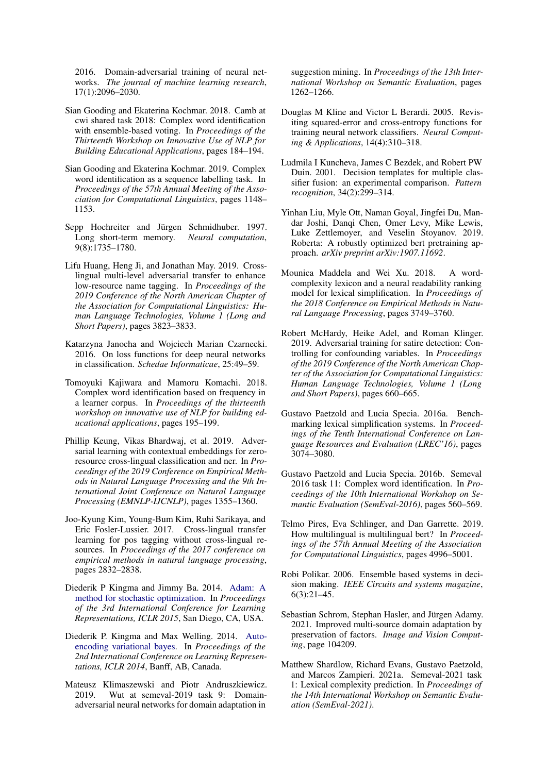2016. Domain-adversarial training of neural networks. *The journal of machine learning research*, 17(1):2096–2030.

- <span id="page-9-21"></span>Sian Gooding and Ekaterina Kochmar. 2018. Camb at cwi shared task 2018: Complex word identification with ensemble-based voting. In *Proceedings of the Thirteenth Workshop on Innovative Use of NLP for Building Educational Applications*, pages 184–194.
- <span id="page-9-10"></span>Sian Gooding and Ekaterina Kochmar. 2019. Complex word identification as a sequence labelling task. In *Proceedings of the 57th Annual Meeting of the Association for Computational Linguistics*, pages 1148– 1153.
- <span id="page-9-11"></span>Sepp Hochreiter and Jürgen Schmidhuber. 1997. Long short-term memory. *Neural computation*, 9(8):1735–1780.
- <span id="page-9-9"></span>Lifu Huang, Heng Ji, and Jonathan May. 2019. Crosslingual multi-level adversarial transfer to enhance low-resource name tagging. In *Proceedings of the 2019 Conference of the North American Chapter of the Association for Computational Linguistics: Human Language Technologies, Volume 1 (Long and Short Papers)*, pages 3823–3833.
- <span id="page-9-17"></span>Katarzyna Janocha and Wojciech Marian Czarnecki. 2016. On loss functions for deep neural networks in classification. *Schedae Informaticae*, 25:49–59.
- <span id="page-9-20"></span>Tomoyuki Kajiwara and Mamoru Komachi. 2018. Complex word identification based on frequency in a learner corpus. In *Proceedings of the thirteenth workshop on innovative use of NLP for building educational applications*, pages 195–199.
- <span id="page-9-6"></span>Phillip Keung, Vikas Bhardwaj, et al. 2019. Adversarial learning with contextual embeddings for zeroresource cross-lingual classification and ner. In *Proceedings of the 2019 Conference on Empirical Methods in Natural Language Processing and the 9th International Joint Conference on Natural Language Processing (EMNLP-IJCNLP)*, pages 1355–1360.
- <span id="page-9-8"></span>Joo-Kyung Kim, Young-Bum Kim, Ruhi Sarikaya, and Eric Fosler-Lussier. 2017. Cross-lingual transfer learning for pos tagging without cross-lingual resources. In *Proceedings of the 2017 conference on empirical methods in natural language processing*, pages 2832–2838.
- <span id="page-9-16"></span>Diederik P Kingma and Jimmy Ba. 2014. [Adam: A](http://arxiv.org/abs/1412.6980) [method for stochastic optimization.](http://arxiv.org/abs/1412.6980) In *Proceedings of the 3rd International Conference for Learning Representations, ICLR 2015*, San Diego, CA, USA.
- <span id="page-9-3"></span>Diederik P. Kingma and Max Welling. 2014. [Auto](http://arxiv.org/abs/1312.6114)[encoding variational bayes.](http://arxiv.org/abs/1312.6114) In *Proceedings of the 2nd International Conference on Learning Representations, ICLR 2014*, Banff, AB, Canada.
- <span id="page-9-5"></span>Mateusz Klimaszewski and Piotr Andruszkiewicz. 2019. Wut at semeval-2019 task 9: Domainadversarial neural networks for domain adaptation in

suggestion mining. In *Proceedings of the 13th International Workshop on Semantic Evaluation*, pages 1262–1266.

- <span id="page-9-18"></span>Douglas M Kline and Victor L Berardi. 2005. Revisiting squared-error and cross-entropy functions for training neural network classifiers. *Neural Computing & Applications*, 14(4):310–318.
- <span id="page-9-13"></span>Ludmila I Kuncheva, James C Bezdek, and Robert PW Duin. 2001. Decision templates for multiple classifier fusion: an experimental comparison. *Pattern recognition*, 34(2):299–314.
- <span id="page-9-14"></span>Yinhan Liu, Myle Ott, Naman Goyal, Jingfei Du, Mandar Joshi, Danqi Chen, Omer Levy, Mike Lewis, Luke Zettlemoyer, and Veselin Stoyanov. 2019. Roberta: A robustly optimized bert pretraining approach. *arXiv preprint arXiv:1907.11692*.
- <span id="page-9-1"></span>Mounica Maddela and Wei Xu. 2018. A wordcomplexity lexicon and a neural readability ranking model for lexical simplification. In *Proceedings of the 2018 Conference on Empirical Methods in Natural Language Processing*, pages 3749–3760.
- <span id="page-9-4"></span>Robert McHardy, Heike Adel, and Roman Klinger. 2019. Adversarial training for satire detection: Controlling for confounding variables. In *Proceedings of the 2019 Conference of the North American Chapter of the Association for Computational Linguistics: Human Language Technologies, Volume 1 (Long and Short Papers)*, pages 660–665.
- <span id="page-9-15"></span>Gustavo Paetzold and Lucia Specia. 2016a. Benchmarking lexical simplification systems. In *Proceedings of the Tenth International Conference on Language Resources and Evaluation (LREC'16)*, pages 3074–3080.
- <span id="page-9-0"></span>Gustavo Paetzold and Lucia Specia. 2016b. Semeval 2016 task 11: Complex word identification. In *Proceedings of the 10th International Workshop on Semantic Evaluation (SemEval-2016)*, pages 560–569.
- <span id="page-9-7"></span>Telmo Pires, Eva Schlinger, and Dan Garrette. 2019. How multilingual is multilingual bert? In *Proceedings of the 57th Annual Meeting of the Association for Computational Linguistics*, pages 4996–5001.
- <span id="page-9-12"></span>Robi Polikar. 2006. Ensemble based systems in decision making. *IEEE Circuits and systems magazine*, 6(3):21–45.
- <span id="page-9-2"></span>Sebastian Schrom, Stephan Hasler, and Jürgen Adamy. 2021. Improved multi-source domain adaptation by preservation of factors. *Image and Vision Computing*, page 104209.
- <span id="page-9-19"></span>Matthew Shardlow, Richard Evans, Gustavo Paetzold, and Marcos Zampieri. 2021a. Semeval-2021 task 1: Lexical complexity prediction. In *Proceedings of the 14th International Workshop on Semantic Evaluation (SemEval-2021)*.